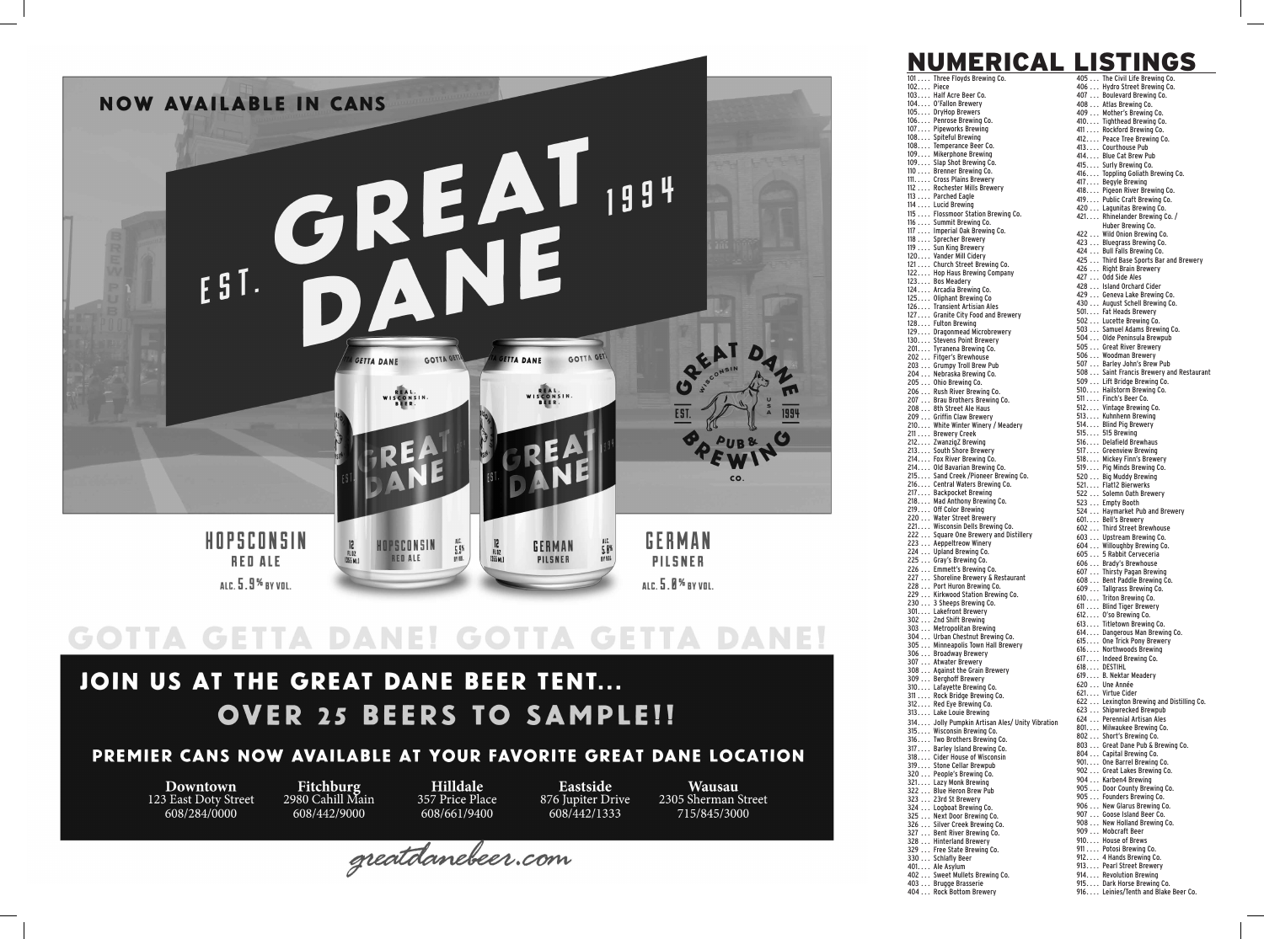

# GOTTA GETTA DANE! GOTTA GETTA DANE!

## JOIN US AT THE GREAT DANE BEER TENT... **OVER 25 BEERS TO SAMPLE!!**

### PREMIER CANS NOW AVAILABLE AT YOUR FAVORITE GREAT DANE LOCATION

**Downtown** 123 East Doty Street 608/284/0000

Fitchburg<br>2980 Cahill Main 608/442/9000

Hilldale 357 Price Place 608/661/9400

Eastside 876 Jupiter Drive 608/442/1333

**Wausau** 2305 Sherman Street 715/845/3000

greatdanebeer.com

|           | <u>NUMERICA</u>                                                  | ISTINGS                                                                 |
|-----------|------------------------------------------------------------------|-------------------------------------------------------------------------|
|           | 101 Three Floyds Brewing Co.                                     | 405 The Civil Life Brewing Co.                                          |
| 102 Piece | 103 Half Acre Beer Co.                                           | 406  Hydro Street Brewing Co.<br>407  Boulevard Brewing Co.             |
|           | 104 O'Fallon Brewery                                             | 408  Atlas Brewing Co.                                                  |
|           | 105 DryHop Brewers<br>106 Penrose Brewing Co.                    | 409  Mother's Brewing Co.                                               |
|           | 107 Pipeworks Brewing                                            | 410 Tighthead Brewing Co.<br>411 Rockford Brewing Co.                   |
|           | 108 Spiteful Brewing                                             | 412 Peace Tree Brewing Co.                                              |
|           | 108 Temperance Beer Co.<br>109 Mikerphone Brewing                | 413 Courthouse Pub<br>414 Blue Cat Brew Pub                             |
|           | 109 Slap Shot Brewing Co.                                        | 415 Surly Brewing Co.                                                   |
|           | 110 Brenner Brewing Co.<br>111. Cross Plains Brewery             | 416 Toppling Goliath Brewing Co.                                        |
|           | 112  Rochester Mills Brewery                                     | 417 Begyle Brewing<br>418 Pigeon River Brewing Co.                      |
|           | 113  Parched Eagle<br>114  Lucid Brewing                         | 419 Public Craft Brewing Co.                                            |
|           | 115  Flossmoor Station Brewing Co.                               | 420  Lagunitas Brewing Co.<br>421 Rhinelander Brewing Co./              |
|           | 116  Summit Brewing Co.                                          | Huber Brewing Co.                                                       |
|           | 117  Imperial Oak Brewing Co.<br>118  Sprecher Brewery           | 422  Wild Onion Brewing Co.                                             |
|           | 119 Sun King Brewery                                             | 423  Bluegrass Brewing Co.<br>424 Bull Falls Brewing Co.                |
|           | 120 Vander Mill Cidery<br>121  Church Street Brewing Co.         | 425  Third Base Sports Bar and Brewery                                  |
|           | 122 Hop Haus Brewing Company                                     | 426  Right Brain Brewery<br>427  Odd Side Ales                          |
|           | 123 Bos Meadery<br>124 Arcadia Brewing Co.                       | 428  Island Orchard Cider                                               |
|           | 125 Oliphant Brewing Co                                          | 429  Geneva Lake Brewing Co.                                            |
|           | 126 Transient Artisian Ales<br>127 Granite City Food and Brewery | 430 August Schell Brewing Co.<br>501 Fat Heads Brewery                  |
|           | 128 Fulton Brewing                                               | 502  Lucette Brewing Co.                                                |
|           | 129 Dragonmead Microbrewery                                      | 503 Samuel Adams Brewing Co.<br>504 Olde Peninsula Brewpub              |
|           | 130 Stevens Point Brewery<br>201. Tyranena Brewing Co.           | 505  Great River Brewery                                                |
|           | 202  Fitger's Brewhouse                                          | 506  Woodman Brewery                                                    |
|           | 203 Grumpy Troll Brew Pub<br>204  Nebraska Brewing Co.           | 507  Barley John's Brew Pub<br>508 Saint Francis Brewery and Restaurant |
|           | 205 Ohio Brewing Co.                                             | 509  Lift Bridge Brewing Co.                                            |
|           | 206  Rush River Brewing Co.                                      | 510 Hailstorm Brewing Co.<br>511  Finch's Beer Co.                      |
|           | 207  Brau Brothers Brewing Co.<br>208  8th Street Ale Haus       | 512 Vintage Brewing Co.                                                 |
|           | 209  Griffin Claw Brewery                                        | 513 Kuhnhenn Brewing                                                    |
|           | 210 White Winter Winery / Meadery<br>211 Brewery Creek           | 514 Blind Pig Brewery<br>515 515 Brewing                                |
|           | 212 ZwanzigZ Brewing                                             | 516 Delafield Brewhaus                                                  |
|           | 213 South Shore Brewery                                          | 517 Greenview Brewing                                                   |
|           | 214 Fox River Brewing Co.<br>214 Old Bavarian Brewing Co.        | 518 Mickey Finn's Brewery<br>519 Pig Minds Brewing Co.                  |
|           | 215 Sand Creek /Pioneer Brewing Co.                              | 520 Big Muddy Brewing                                                   |
|           | 216 Central Waters Brewing Co.<br>217 Backpocket Brewing         | 521 Flat12 Bierwerks<br>522  Solemn Oath Brewery                        |
|           | 218 Mad Anthony Brewing Co.                                      | 523  Empty Booth                                                        |
|           | 219 Off Color Brewing<br>220  Water Street Brewery               | 524  Haymarket Pub and Brewery                                          |
|           | 221 Wisconsin Dells Brewing Co.                                  | 601 Bell's Brewery<br>602  Third Street Brewhouse                       |
|           | 222  Square One Brewery and Distillery                           | 603  Upstream Brewing Co.                                               |
|           | 223  Aeppeltreow Winery<br>224  Upland Brewing Co.               | 604 Willoughby Brewing Co.<br>605  5 Rabbit Cerveceria                  |
|           | 225  Gray's Brewing Co.                                          | 606  Brady's Brewhouse                                                  |
|           | 226  Emmett's Brewing Co.<br>227  Shoreline Brewery & Restaurant | 607  Thirsty Pagan Brewing                                              |
|           | 228  Port Huron Brewing Co.                                      | 608  Bent Paddle Brewing Co.<br>609 Tallgrass Brewing Co.               |
|           | 229  Kirkwood Station Brewing Co.<br>230 3 Sheeps Brewing Co.    | 610 Triton Brewing Co.                                                  |
|           | 301 Lakefront Brewery                                            | 611 Blind Tiger Brewery<br>612 0'so Brewing Co.                         |
|           | 302  2nd Shift Brewing<br>303  Metropolitan Brewing              | 613 Titletown Brewing Co.                                               |
|           | 304  Urban Chestnut Brewing Co.                                  | 614 Dangerous Man Brewing Co.                                           |
|           | 305  Minneapolis Town Hall Brewery                               | 615 One Trick Pony Brewery<br>616 Northwoods Brewing                    |
|           | 306  Broadway Brewery<br>307  Atwater Brewery                    | 617 Indeed Brewing Co.                                                  |
|           | 308  Against the Grain Brewery                                   | 618 DESTIHL<br>619 B. Nektar Meadery                                    |
|           | 309  Berghoff Brewery<br>310 Lafayette Brewing Co.               | 620  Une Année                                                          |
|           | 311  Rock Bridge Brewing Co.                                     | 621 Virtue Cider                                                        |
|           | 312 Red Eye Brewing Co.<br>313 Lake Louie Brewing                | 622  Lexington Brewing and Distilling Co.<br>623  Shipwrecked Brewpub   |
|           | 314 Jolly Pumpkin Artisan Ales/ Unity Vibration                  | 624  Perennial Artisan Ales                                             |
|           | 315 Wisconsin Brewing Co.                                        | 801 Milwaukee Brewing Co.<br>802  Short's Brewing Co.                   |
|           | 316 Two Brothers Brewing Co.<br>317 Barley Island Brewing Co.    | 803  Great Dane Pub & Brewing Co.                                       |
|           | 318 Cider House of Wisconsin                                     | 804  Capital Brewing Co.                                                |
|           | 319 Stone Cellar Brewpub                                         | 901 One Barrel Brewing Co.<br>902  Great Lakes Brewing Co.              |
|           | 320  People's Brewing Co.<br>321 Lazy Monk Brewing               | 904  Karben4 Brewing                                                    |
|           | 322 Blue Heron Brew Pub                                          | 905  Door County Brewing Co.<br>905  Founders Brewing Co.               |
|           | 323  23rd St Brewery<br>324  Logboat Brewing Co.                 | 906  New Glarus Brewing Co.                                             |
|           | 325  Next Door Brewing Co.                                       | 907  Goose Island Beer Co.                                              |
|           | 326  Silver Creek Brewing Co.<br>327  Bent River Brewing Co.     | 908 New Holland Brewing Co.<br>909  Mobcraft Beer                       |
|           | 328  Hinterland Brewery                                          | 910 House of Brews                                                      |
|           | 329  Free State Brewing Co.                                      | 911  Potosi Brewing Co.                                                 |
|           | 330  Schlafly Beer<br>401 Ale Asylum                             | 912 4 Hands Brewing Co.<br>913 Pearl Street Brewery                     |
|           | 402  Sweet Mullets Brewing Co.                                   | 914 Revolution Brewing                                                  |
|           | 403  Brugge Brasserie<br>404 Rock Bottom Brewery                 | 915 Dark Horse Brewing Co.<br>916 Leinies/Tenth and Blake Beer Co.      |
|           |                                                                  |                                                                         |